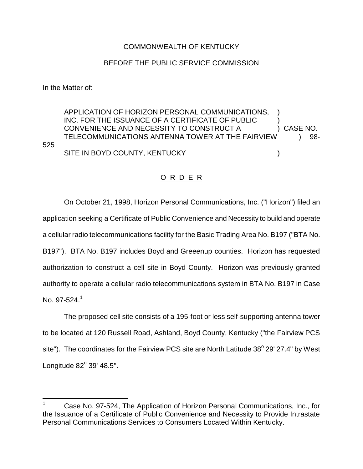## COMMONWEALTH OF KENTUCKY

## BEFORE THE PUBLIC SERVICE COMMISSION

In the Matter of:

525

APPLICATION OF HORIZON PERSONAL COMMUNICATIONS, INC. FOR THE ISSUANCE OF A CERTIFICATE OF PUBLIC ) CONVENIENCE AND NECESSITY TO CONSTRUCT A ) CASE NO. TELECOMMUNICATIONS ANTENNA TOWER AT THE FAIRVIEW (98-SITE IN BOYD COUNTY, KENTUCKY (COUNTY)

O R D E R

On October 21, 1998, Horizon Personal Communications, Inc. ("Horizon") filed an application seeking a Certificate of Public Convenience and Necessity to build and operate a cellular radio telecommunications facility for the Basic Trading Area No. B197 ("BTA No. B197"). BTA No. B197 includes Boyd and Greeenup counties. Horizon has requested authorization to construct a cell site in Boyd County. Horizon was previously granted authority to operate a cellular radio telecommunications system in BTA No. B197 in Case No. 97-524 $<sup>1</sup>$ </sup>

The proposed cell site consists of a 195-foot or less self-supporting antenna tower to be located at 120 Russell Road, Ashland, Boyd County, Kentucky ("the Fairview PCS site"). The coordinates for the Fairview PCS site are North Latitude  $38^{\circ}$  29' 27.4" by West Longitude  $82^\circ$  39' 48.5".

<sup>1</sup> Case No. 97-524, The Application of Horizon Personal Communications, Inc., for the Issuance of a Certificate of Public Convenience and Necessity to Provide Intrastate Personal Communications Services to Consumers Located Within Kentucky.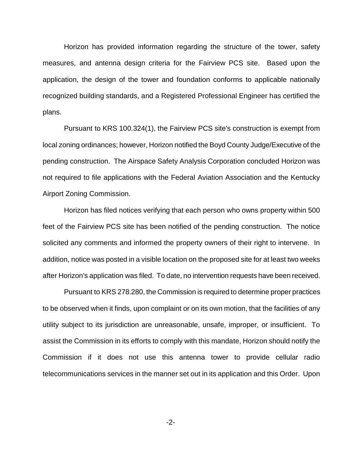Horizon has provided information regarding the structure of the tower, safety measures, and antenna design criteria for the Fairview PCS site. Based upon the application, the design of the tower and foundation conforms to applicable nationally recognized building standards, and a Registered Professional Engineer has certified the plans.

Pursuant to KRS 100.324(1), the Fairview PCS site's construction is exempt from local zoning ordinances; however, Horizon notified the Boyd County Judge/Executive of the pending construction. The Airspace Safety Analysis Corporation concluded Horizon was not required to file applications with the Federal Aviation Association and the Kentucky Airport Zoning Commission.

Horizon has filed notices verifying that each person who owns property within 500 feet of the Fairview PCS site has been notified of the pending construction. The notice solicited any comments and informed the property owners of their right to intervene. In addition, notice was posted in a visible location on the proposed site for at least two weeks after Horizon's application was filed. To date, no intervention requests have been received.

Pursuant to KRS 278.280, the Commission is required to determine proper practices to be observed when it finds, upon complaint or on its own motion, that the facilities of any utility subject to its jurisdiction are unreasonable, unsafe, improper, or insufficient. To assist the Commission in its efforts to comply with this mandate, Horizon should notify the Commission if it does not use this antenna tower to provide cellular radio telecommunications services in the manner set out in its application and this Order. Upon

-2-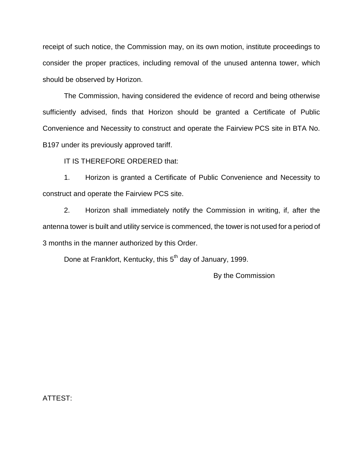receipt of such notice, the Commission may, on its own motion, institute proceedings to consider the proper practices, including removal of the unused antenna tower, which should be observed by Horizon.

The Commission, having considered the evidence of record and being otherwise sufficiently advised, finds that Horizon should be granted a Certificate of Public Convenience and Necessity to construct and operate the Fairview PCS site in BTA No. B197 under its previously approved tariff.

IT IS THEREFORE ORDERED that:

1. Horizon is granted a Certificate of Public Convenience and Necessity to construct and operate the Fairview PCS site.

2. Horizon shall immediately notify the Commission in writing, if, after the antenna tower is built and utility service is commenced, the tower is not used for a period of 3 months in the manner authorized by this Order.

Done at Frankfort, Kentucky, this 5<sup>th</sup> day of January, 1999.

By the Commission

ATTEST: